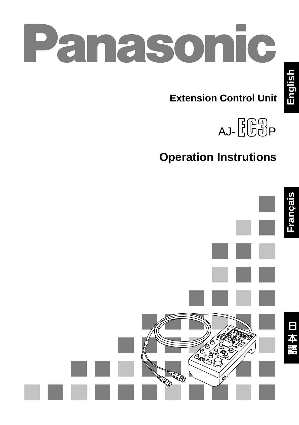# Panasonic

### **Extension Control Unit**



### **Operation Instrutions**

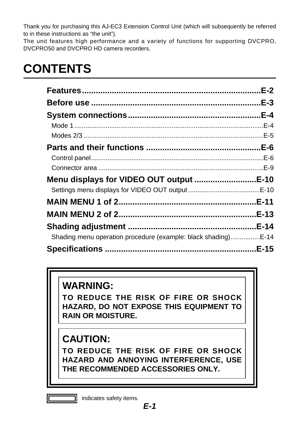Thank you for purchasing this AJ-EC3 Extension Control Unit (which will subsequently be referred to in these instructions as "the unit").

The unit features high performance and a variety of functions for supporting DVCPRO, DVCPRO50 and DVCPRO HD camera recorders.

# **CONTENTS**

| Shading menu operation procedure (example: black shading)E-14 |  |
|---------------------------------------------------------------|--|
|                                                               |  |

### **WARNING:**

**TO REDUCE THE RISK OF FIRE OR SHOCK HAZARD, DO NOT EXPOSE THIS EQUIPMENT TO RAIN OR MOISTURE.**

### **CAUTION:**

**TO REDUCE THE RISK OF FIRE OR SHOCK HAZARD AND ANNOYING INTERFERENCE, USE THE RECOMMENDED ACCESSORIES ONLY.**

indicates safety items.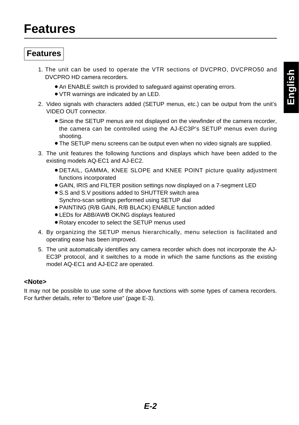### **Features**

#### **Features**

- 1. The unit can be used to operate the VTR sections of DVCPRO, DVCPRO50 and DVCPRO HD camera recorders.
	- An ENABLE switch is provided to safeguard against operating errors.
	- VTR warnings are indicated by an LED.
- 2. Video signals with characters added (SETUP menus, etc.) can be output from the unit's VIDEO OUT connector.
	- Since the SETUP menus are not displayed on the viewfinder of the camera recorder, the camera can be controlled using the AJ-EC3P's SETUP menus even during shooting.
	- The SETUP menu screens can be output even when no video signals are supplied.
- 3. The unit features the following functions and displays which have been added to the existing models AQ-EC1 and AJ-EC2.
	- DETAIL, GAMMA, KNEE SLOPE and KNEE POINT picture quality adjustment functions incorporated
	- GAIN, IRIS and FILTER position settings now displayed on a 7-segment LED
	- S.S and S.V positions added to SHUTTER switch area Synchro-scan settings performed using SETUP dial
	- ≥PAINTING (R/B GAIN, R/B BLACK) ENABLE function added
	- LEDs for ABB/AWB OK/NG displays featured
	- Rotary encoder to select the SETUP menus used
- 4. By organizing the SETUP menus hierarchically, menu selection is facilitated and operating ease has been improved.
- 5. The unit automatically identifies any camera recorder which does not incorporate the AJ-EC3P protocol, and it switches to a mode in which the same functions as the existing model AQ-EC1 and AJ-EC2 are operated.

#### **<Note>**

It may not be possible to use some of the above functions with some types of camera recorders. For further details, refer to "Before use" (page E-3).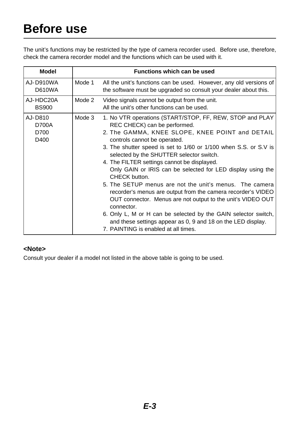# **Before use**

The unit's functions may be restricted by the type of camera recorder used. Before use, therefore, check the camera recorder model and the functions which can be used with it.

| Model                                   | Functions which can be used |                                                                                                                                                                                                                                                                                                                                                                                                                                                                                                                                                                                                                                                                                                                                                                                                              |
|-----------------------------------------|-----------------------------|--------------------------------------------------------------------------------------------------------------------------------------------------------------------------------------------------------------------------------------------------------------------------------------------------------------------------------------------------------------------------------------------------------------------------------------------------------------------------------------------------------------------------------------------------------------------------------------------------------------------------------------------------------------------------------------------------------------------------------------------------------------------------------------------------------------|
| AJ-D910WA<br><b>D610WA</b>              | Mode 1                      | All the unit's functions can be used. However, any old versions of<br>the software must be upgraded so consult your dealer about this.                                                                                                                                                                                                                                                                                                                                                                                                                                                                                                                                                                                                                                                                       |
| AJ-HDC20A<br><b>BS900</b>               | Mode 2                      | Video signals cannot be output from the unit.<br>All the unit's other functions can be used.                                                                                                                                                                                                                                                                                                                                                                                                                                                                                                                                                                                                                                                                                                                 |
| AJ-D810<br><b>D700A</b><br>D700<br>D400 | Mode 3                      | 1. No VTR operations (START/STOP, FF, REW, STOP and PLAY<br>REC CHECK) can be performed.<br>2. The GAMMA, KNEE SLOPE, KNEE POINT and DETAIL<br>controls cannot be operated.<br>3. The shutter speed is set to 1/60 or 1/100 when S.S. or S.V is<br>selected by the SHUTTER selector switch.<br>4. The FILTER settings cannot be displayed.<br>Only GAIN or IRIS can be selected for LED display using the<br>CHECK button.<br>5. The SETUP menus are not the unit's menus. The camera<br>recorder's menus are output from the camera recorder's VIDEO<br>OUT connector. Menus are not output to the unit's VIDEO OUT<br>connector.<br>6. Only L, M or H can be selected by the GAIN selector switch,<br>and these settings appear as 0, 9 and 18 on the LED display.<br>7. PAINTING is enabled at all times. |

#### **<Note>**

Consult your dealer if a model not listed in the above table is going to be used.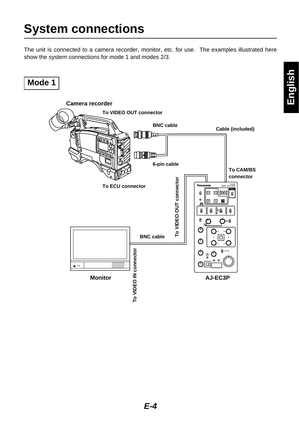The unit is connected to a camera recorder, monitor, etc. for use. The examples illustrated here show the system connections for mode 1 and modes 2/3.

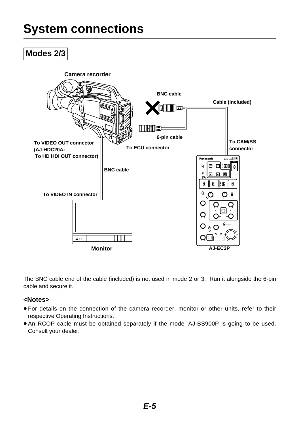## **System connections**

### **Modes 2/3**



The BNC cable end of the cable (included) is not used in mode 2 or 3. Run it alongside the 6-pin cable and secure it.

#### **<Notes>**

- ≥For details on the connection of the camera recorder, monitor or other units, refer to their respective Operating Instructions.
- ≥An RCOP cable must be obtained separately if the model AJ-BS900P is going to be used. Consult your dealer.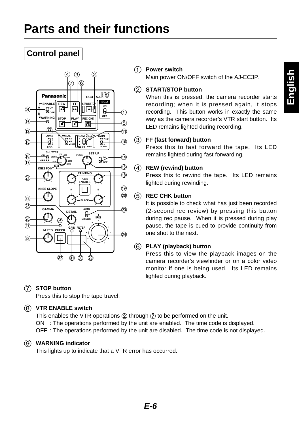### **Control panel**



#### 1 **Power switch**

Main power ON/OFF switch of the AJ-EC3P.

#### 2 **START/STOP button**

When this is pressed, the camera recorder starts recording; when it is pressed again, it stops recording. This button works in exactly the same way as the camera recorder's VTR start button. Its LED remains lighted during recording.

#### **FF (fast forward) button** 3

Press this to fast forward the tape. Its LED remains lighted during fast forwarding.

#### 4 **REW (rewind) button**

Press this to rewind the tape. Its LED remains lighted during rewinding.

#### **REC CHK button** 5

It is possible to check what has just been recorded (2-second rec review) by pressing this button during rec pause. When it is pressed during play pause, the tape is cued to provide continuity from one shot to the next.

#### 6 **PLAY (playback) button**

Press this to view the playback images on the camera recorder's viewfinder or on a color video monitor if one is being used. Its LED remains lighted during playback.

#### 7 **STOP button**

Press this to stop the tape travel.

#### **VTR ENABLE switch** 8

This enables the VTR operations  $(2)$  through  $(7)$  to be performed on the unit. ON : The operations performed by the unit are enabled. The time code is displayed. OFF : The operations performed by the unit are disabled. The time code is not displayed.

#### 9 **WARNING indicator**

This lights up to indicate that a VTR error has occurred.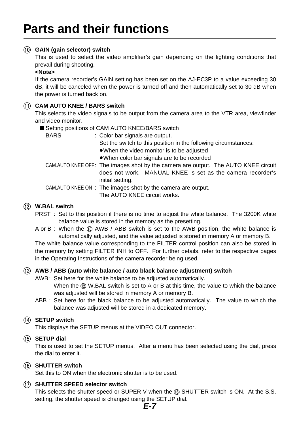#### : **GAIN (gain selector) switch**

This is used to select the video amplifier's gain depending on the lighting conditions that prevail during shooting.

#### **<Note>**

If the camera recorder's GAIN setting has been set on the AJ-EC3P to a value exceeding 30 dB, it will be canceled when the power is turned off and then automatically set to 30 dB when the power is turned back on.

#### ; **CAM AUTO KNEE / BARS switch**

This selects the video signals to be output from the camera area to the VTR area, viewfinder and video monitor.

- Setting positions of CAM AUTO KNEE/BARS switch
	- BARS : Color bar signals are output.
		- Set the switch to this position in the following circumstances:
		- ●When the video monitor is to be adjusted
		- ●When color bar signals are to be recorded
	- CAM.AUTO KNEE OFF: The images shot by the camera are output. The AUTO KNEE circuit does not work. MANUAL KNEE is set as the camera recorder's initial setting.

CAM.AUTO KNEE ON : The images shot by the camera are output.

The AUTO KNEE circuit works.

#### **W.BAL switch** <

- PRST : Set to this position if there is no time to adjust the white balance. The 3200K white balance value is stored in the memory as the presetting.
- A or B : When the  $(3)$  AWB / ABB switch is set to the AWB position, the white balance is automatically adjusted, and the value adjusted is stored in memory A or memory B.

The white balance value corresponding to the FILTER control position can also be stored in the memory by setting FILTER INH to OFF. For further details, refer to the respective pages in the Operating Instructions of the camera recorder being used.

#### **AWB / ABB (auto white balance / auto black balance adjustment) switch**  =

AWB: Set here for the white balance to be adjusted automatically.

When the  $(12)$  W.BAL switch is set to A or B at this time, the value to which the balance was adjusted will be stored in memory A or memory B.

ABB : Set here for the black balance to be adjusted automatically. The value to which the balance was adjusted will be stored in a dedicated memory.

#### > **SETUP switch**

This displays the SETUP menus at the VIDEO OUT connector.

#### ? **SETUP dial**

This is used to set the SETUP menus. After a menu has been selected using the dial, press the dial to enter it.

#### @ **SHUTTER switch**

Set this to ON when the electronic shutter is to be used.

#### A **SHUTTER SPEED selector switch**

This selects the shutter speed or SUPER V when the  $66$  SHUTTER switch is ON. At the S.S. setting, the shutter speed is changed using the SETUP dial.

#### **E-7**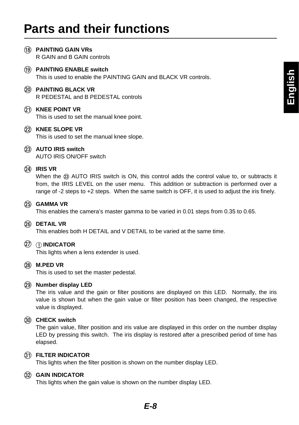### **Parts and their functions**

- C **PAINTING ENABLE switch** This is used to enable the PAINTING GAIN and BLACK VR controls. B **PAINTING GAIN VRs**  R GAIN and B GAIN controls K **INDICATOR DETAIL VR** J This enables both H DETAIL and V DETAIL to be varied at the same time. H **IRIS VR** When the  $@$  AUTO IRIS switch is ON, this control adds the control value to, or subtracts it from, the IRIS LEVEL on the user menu. This addition or subtraction is performed over a range of -2 steps to +2 steps. When the same switch is OFF, it is used to adjust the iris finely. I **GAMMA VR** This enables the camera's master gamma to be varied in 0.01 steps from 0.35 to 0.65. G **AUTO IRIS switch** AUTO IRIS ON/OFF switch D **PAINTING BLACK VR** R PEDESTAL and B PEDESTAL controls **(2) KNEE SLOPE VR** This is used to set the manual knee slope. **21) KNEE POINT VR** This is used to set the manual knee point.
	- 28 **M.PED VR**

This is used to set the master pedestal.

This lights when a lens extender is used.

#### M **Number display LED**

The iris value and the gain or filter positions are displayed on this LED. Normally, the iris value is shown but when the gain value or filter position has been changed, the respective value is displayed.

#### $(30)$  CHECK switch

The gain value, filter position and iris value are displayed in this order on the number display LED by pressing this switch. The iris display is restored after a prescribed period of time has elapsed.

#### O **FILTER INDICATOR**

This lights when the filter position is shown on the number display LED.

#### **GAIN INDICATOR** P

This lights when the gain value is shown on the number display LED.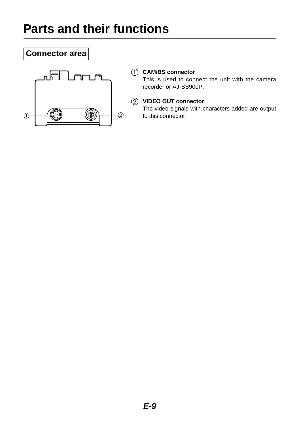#### **Connector area**



#### 1 **CAM/BS connector**

This is used to connect the unit with the camera recorder or AJ-BS900P.

#### 2 **VIDEO OUT connector**

The video signals with characters added are output to this connector.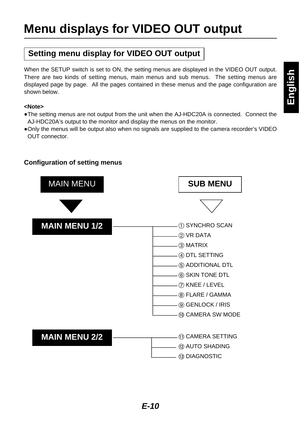#### **Setting menu display for VIDEO OUT output**

When the SETUP switch is set to ON, the setting menus are displayed in the VIDEO OUT output. There are two kinds of setting menus, main menus and sub menus. The setting menus are displayed page by page. All the pages contained in these menus and the page configuration are shown below.

#### **<Note>**

- ≥The setting menus are not output from the unit when the AJ-HDC20A is connected. Connect the AJ-HDC20A's output to the monitor and display the menus on the monitor.
- ≥Only the menus will be output also when no signals are supplied to the camera recorder's VIDEO OUT connector.



#### **Configuration of setting menus**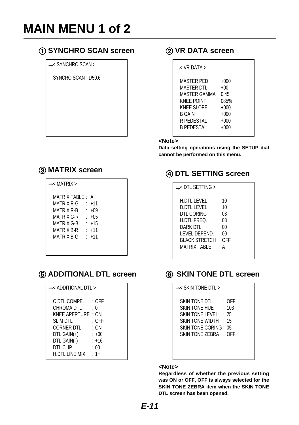#### 1 **SYNCHRO SCAN screen**

 $\rightarrow$ < SYNCHRO SCAN >

SYNCRO SCAN 1/50.6

#### 2 **VR DATA screen**

| $\rightarrow$ VR DATA $\rightarrow$                                                                                                                                                                                  |
|----------------------------------------------------------------------------------------------------------------------------------------------------------------------------------------------------------------------|
| <b>MASTER PED</b><br>$: +000$<br><b>MASTER DTL</b><br>: +00<br>MASTER GAMMA: 0.45<br>KNEE POINT<br>: 085%<br>KNEE SLOPE<br>$: +000$<br>B GAIN<br>$: +000$<br>R PEDESTAL<br>$: +000$<br><b>B PEDESTAL</b><br>$: +000$ |

#### **<Note>**

**Data setting operations using the SETUP dial cannot be performed on this menu.**

| $\rightarrow$ < MATRIX >                                               |   |                                          |
|------------------------------------------------------------------------|---|------------------------------------------|
| MATRIX TABLE :<br>MATRIX R-G<br>MATRIX R-B<br>MATRIX G-R<br>MATRIX G-B | ۰ | A<br>· +11<br>$+0.9$<br>$+05$<br>: $+15$ |
| MATRIX B-R<br>MATRIX B-G                                               |   | $+11$<br>$+11$                           |

#### 5 **ADDITIONAL DTL screen** 6 **SKIN TONE DTL screen**

| $\rightarrow$ < ADDITIONAL DTL >                                                                                                                           |                                                                     |
|------------------------------------------------------------------------------------------------------------------------------------------------------------|---------------------------------------------------------------------|
| C DTL COMPE.<br>CHROMA DTL<br>KNEE APERTURE: ON<br><b>SLIM DTL</b><br><b>CORNER DTL</b><br>DTL GAIN(+)<br>DTL GAIN(-)<br>DTL CLIP<br><b>H.DTL LINE MIX</b> | : OFF<br>: 0<br>$:$ OFF<br>∴ ON<br>$: +00$<br>: +16<br>: 00<br>· 1H |
|                                                                                                                                                            |                                                                     |

### <sup>3</sup> **MATRIX screen** <sup>4</sup> **DTL SETTING screen**

| $\rightarrow$ < DTL SETTING >                                                                                     |        |                                    |
|-------------------------------------------------------------------------------------------------------------------|--------|------------------------------------|
| H.DTL LEVEL<br><b>D.DTL LEVEL</b><br>DTL CORING<br>H.DTL FREQ.<br>DARK DTL<br>I FVFI DFPFND<br>BLACK STRETCH: OFF | $\sim$ | : 10<br>: 10<br>03<br>03<br>m<br>m |
| MATRIX TARI F A                                                                                                   |        |                                    |

| $\rightarrow$ < SKIN TONE DTL >                                                                                                      |                |
|--------------------------------------------------------------------------------------------------------------------------------------|----------------|
| SKIN TONE DTL<br><b>SKIN TONE HUE</b><br>SKIN TONE LEVEL : 25<br>SKIN TONE WIDTH : 15<br>SKIN TONE CORING: 05<br>SKIN TONE ZEBRA OFF | : OFF<br>: 103 |

#### **<Note>**

**Regardless of whether the previous setting was ON or OFF, OFF is always selected for the SKIN TONE ZEBRA item when the SKIN TONE DTL screen has been opened.**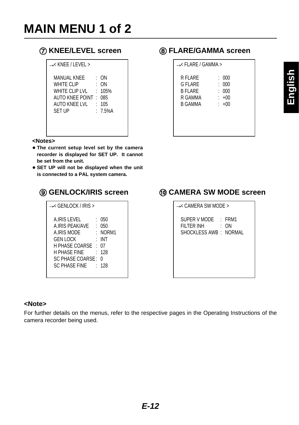

**<Notes>**

- ≥ **The current setup level set by the camera recorder is displayed for SET UP. It cannot be set from the unit.**
- ≥ **SET UP will not be displayed when the unit is connected to a PAL system camera.**



#### 8 **FLARE/GAMMA screen**

| $\rightarrow$ < FLARE / GAMMA > |         |
|---------------------------------|---------|
| R FLARE                         | 000     |
| G FLARE                         | 000     |
| <b>B FI ARF</b>                 | 000     |
| R GAMMA                         | : +00   |
| <b>B GAMMA</b>                  | $: +00$ |

#### : **CAMERA SW MODE screen**

 $\rightarrow$ < CAMERA SW MODE  $\rightarrow$ 

SUPER V MODE : FRM1 FILTER INH SHOCKLESS AWB · NORMAL

#### **<Note>**

For further details on the menus, refer to the respective pages in the Operating Instructions of the camera recorder being used.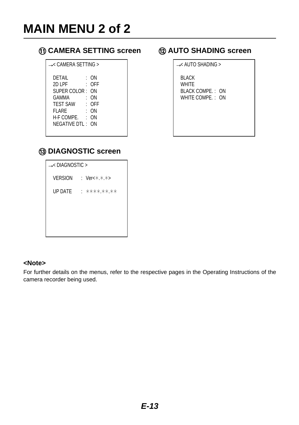#### ; **CAMERA SETTING screen** < **AUTO SHADING screen**

| →< CAMERA SETTING >                                                                 |   |                                                        |
|-------------------------------------------------------------------------------------|---|--------------------------------------------------------|
| DETAIL<br>2D LPF<br>SUPER COLOR:<br>GAMMA<br><b>TEST SAW</b><br>FLARE<br>H-F COMPE. | ۰ | ΟN<br><b>OFF</b><br>ON<br>ON<br><b>OFF</b><br>ON<br>ON |
| NEGATIVE DTL :                                                                      |   | ΩN                                                     |

| $\rightarrow$ < AUTO SHADING >                                       |  |
|----------------------------------------------------------------------|--|
| <b>BLACK</b><br><b>WHITE</b><br>BLACK COMPE.: ON<br>WHITE COMPE.: ON |  |
|                                                                      |  |

#### = **DIAGNOSTIC screen**

→< DIAGNOSTIC > VERSION : Ver< $\ast\ast\ast\ast$ UP DATE : \*\*\*\*\*\*\*\*

#### **<Note>**

For further details on the menus, refer to the respective pages in the Operating Instructions of the camera recorder being used.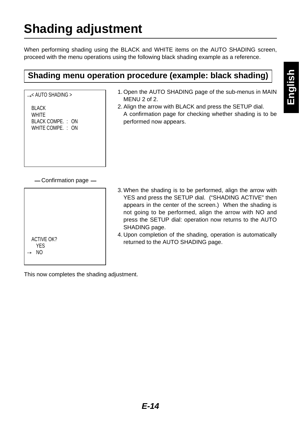### **Shading adjustment**

When performing shading using the BLACK and WHITE items on the AUTO SHADING screen, proceed with the menu operations using the following black shading example as a reference.

#### **Shading menu operation procedure (example: black shading)**

 $\rightarrow$ < AUTO SHADING >

BLACK **WHITE** BLACK COMPE. : ON WHITE COMPE. : ON

- 1. Open the AUTO SHADING page of the sub-menus in MAIN MENU 2 of 2.
- 2. Align the arrow with BLACK and press the SETUP dial. A confirmation page for checking whether shading is to be performed now appears.

 $-$  Confirmation page  $-$ 

| <b>ACTIVE OK?</b>            |  |
|------------------------------|--|
| <b>YES</b><br>N <sub>O</sub> |  |

- 3. When the shading is to be performed, align the arrow with YES and press the SETUP dial. ("SHADING ACTIVE" then appears in the center of the screen.) When the shading is not going to be performed, align the arrow with NO and press the SETUP dial: operation now returns to the AUTO SHADING page.
- 4. Upon completion of the shading, operation is automatically returned to the AUTO SHADING page.

This now completes the shading adjustment.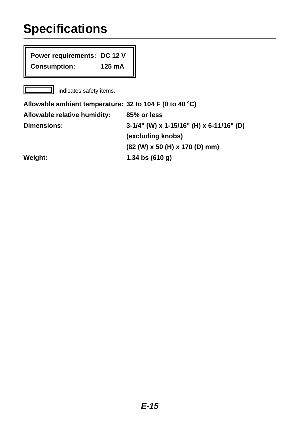# **Specifications**

**Power requirements: DC 12 V Consumption: 125 mA**

indicates safety items.

| Allowable ambient temperature: 32 to 104 F (0 to 40 °C) |                                             |
|---------------------------------------------------------|---------------------------------------------|
| Allowable relative humidity:                            | 85% or less                                 |
| <b>Dimensions:</b>                                      | $3-1/4$ " (W) x 1-15/16" (H) x 6-11/16" (D) |
|                                                         | (excluding knobs)                           |
|                                                         | $(82 (W) \times 50 (H) \times 170 (D)$ mm)  |
| Weight:                                                 | 1.34 bs $(610q)$                            |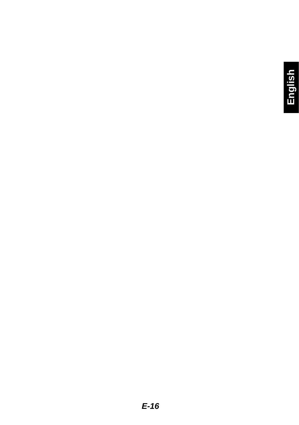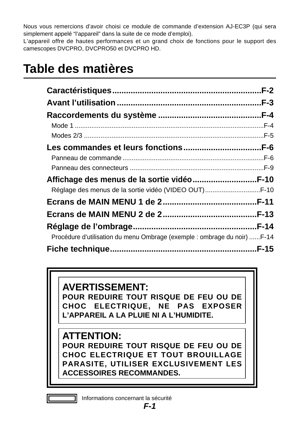Nous vous remercions d'avoir choisi ce module de commande d'extension AJ-EC3P (qui sera simplement appelé "l'appareil" dans la suite de ce mode d'emploi).

L'appareil offre de hautes performances et un grand choix de fonctions pour le support des camescopes DVCPRO, DVCPRO50 et DVCPRO HD.

### **Table des matières**

|                                                                          | .F-2 |
|--------------------------------------------------------------------------|------|
|                                                                          |      |
|                                                                          |      |
|                                                                          |      |
|                                                                          |      |
|                                                                          |      |
|                                                                          |      |
|                                                                          |      |
|                                                                          |      |
| Réglage des menus de la sortie vidéo (VIDEO OUT)F-10                     |      |
|                                                                          |      |
|                                                                          |      |
|                                                                          |      |
| Procédure d'utilisation du menu Ombrage (exemple : ombrage du noir) F-14 |      |
|                                                                          |      |

### **AVERTISSEMENT:**

**POUR REDUIRE TOUT RISQUE DE FEU OU DE CHOC ELECTRIQUE, NE PAS EXPOSER L'APPAREIL A LA PLUIE NI A L'HUMIDITE.**

### **ATTENTION:**

**POUR REDUIRE TOUT RISQUE DE FEU OU DE CHOC ELECTRIQUE ET TOUT BROUILLAGE PARASITE, UTILISER EXCLUSIVEMENT LES ACCESSOIRES RECOMMANDES.**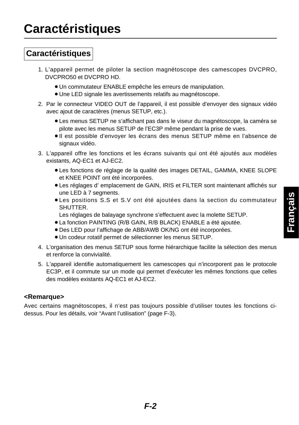#### **Caractéristiques**

- 1. L'appareil permet de piloter la section magnétoscope des camescopes DVCPRO, DVCPRO50 et DVCPRO HD.
	- ≥Un commutateur ENABLE empêche les erreurs de manipulation.
	- ≥Une LED signale les avertissements relatifs au magnétoscope.
- 2. Par le connecteur VIDEO OUT de l'appareil, il est possible d'envoyer des signaux vidéo avec ajout de caractères (menus SETUP, etc.).
	- ≥Les menus SETUP ne s'affichant pas dans le viseur du magnétoscope, la caméra se pilote avec les menus SETUP de l'EC3P même pendant la prise de vues.
	- ≥Il est possible d'envoyer les écrans des menus SETUP même en l'absence de signaux vidéo.
- 3. L'appareil offre les fonctions et les écrans suivants qui ont été ajoutés aux modèles existants, AQ-EC1 et AJ-EC2.
	- ≥Les fonctions de réglage de la qualité des images DETAIL, GAMMA, KNEE SLOPE et KNEE POINT ont été incorporées.
	- ≥Les réglages d' emplacement de GAIN, IRIS et FILTER sont maintenant affichés sur une LED à 7 segments.
	- ≥Les positions S.S et S.V ont été ajoutées dans la section du commutateur SHUTTER.
		- Les réglages de balayage synchrone s'effectuent avec la molette SETUP.
	- ≥La fonction PAINTING (R/B GAIN, R/B BLACK) ENABLE a été ajoutée.
	- ≥Des LED pour l'affichage de ABB/AWB OK/NG ont été incorporées.
	- ≥Un codeur rotatif permet de sélectionner les menus SETUP.
- 4. L'organisation des menus SETUP sous forme hiérarchique facilite la sélection des menus et renforce la convivialité.
- 5. L'appareil identifie automatiquement les camescopes qui n'incorporent pas le protocole EC3P, et il commute sur un mode qui permet d'exécuter les mêmes fonctions que celles des modèles existants AQ-EC1 et AJ-EC2.

#### **<Remarque>**

Avec certains magnétoscopes, il n'est pas toujours possible d'utiliser toutes les fonctions cidessus. Pour les détails, voir "Avant l'utilisation" (page F-3).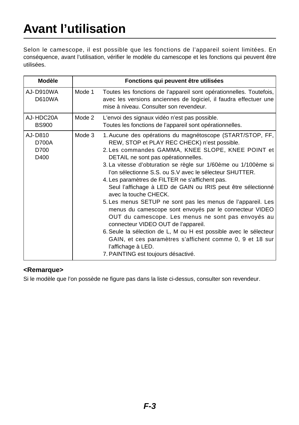# **Avant l'utilisation**

Selon le camescope, il est possible que les fonctions de l'appareil soient limitées. En conséquence, avant l'utilisation, vérifier le modèle du camescope et les fonctions qui peuvent être utilisées.

| Modèle                                  |        | Fonctions qui peuvent être utilisées                                                                                                                                                                                                                                                                                                                                                                                                                                                                                                                                                                                                                                                                                                                                                                                                                                                                |
|-----------------------------------------|--------|-----------------------------------------------------------------------------------------------------------------------------------------------------------------------------------------------------------------------------------------------------------------------------------------------------------------------------------------------------------------------------------------------------------------------------------------------------------------------------------------------------------------------------------------------------------------------------------------------------------------------------------------------------------------------------------------------------------------------------------------------------------------------------------------------------------------------------------------------------------------------------------------------------|
| AJ-D910WA<br><b>D610WA</b>              | Mode 1 | Toutes les fonctions de l'appareil sont opérationnelles. Toutefois,<br>avec les versions anciennes de logiciel, il faudra effectuer une<br>mise à niveau. Consulter son revendeur.                                                                                                                                                                                                                                                                                                                                                                                                                                                                                                                                                                                                                                                                                                                  |
| AJ-HDC20A<br><b>BS900</b>               | Mode 2 | L'envoi des signaux vidéo n'est pas possible.<br>Toutes les fonctions de l'appareil sont opérationnelles.                                                                                                                                                                                                                                                                                                                                                                                                                                                                                                                                                                                                                                                                                                                                                                                           |
| AJ-D810<br><b>D700A</b><br>D700<br>D400 | Mode 3 | 1. Aucune des opérations du magnétoscope (START/STOP, FF,<br>REW, STOP et PLAY REC CHECK) n'est possible.<br>2. Les commandes GAMMA, KNEE SLOPE, KNEE POINT et<br>DETAIL ne sont pas opérationnelles.<br>3. La vitesse d'obturation se règle sur 1/60ème ou 1/100ème si<br>l'on sélectionne S.S. ou S.V avec le sélecteur SHUTTER.<br>4. Les paramètres de FILTER ne s'affichent pas.<br>Seul l'affichage à LED de GAIN ou IRIS peut être sélectionné<br>avec la touche CHECK.<br>5. Les menus SETUP ne sont pas les menus de l'appareil. Les<br>menus du camescope sont envoyés par le connecteur VIDEO<br>OUT du camescope. Les menus ne sont pas envoyés au<br>connecteur VIDEO OUT de l'appareil.<br>6. Seule la sélection de L, M ou H est possible avec le sélecteur<br>GAIN, et ces paramètres s'affichent comme 0, 9 et 18 sur<br>l'affichage à LED.<br>7. PAINTING est toujours désactivé. |

#### **<Remarque>**

Si le modèle que l'on possède ne figure pas dans la liste ci-dessus, consulter son revendeur.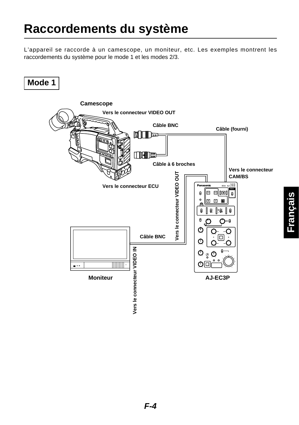L'appareil se raccorde à un camescope, un moniteur, etc. Les exemples montrent les raccordements du système pour le mode 1 et les modes 2/3.

#### **Mode 1**

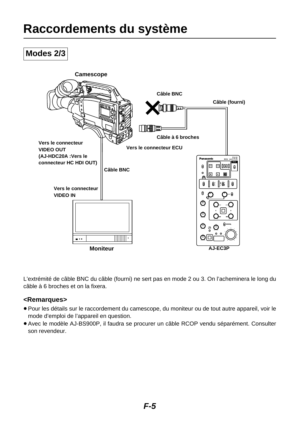### **Modes 2/3**



L'extrémité de câble BNC du câble (fourni) ne sert pas en mode 2 ou 3. On l'acheminera le long du câble à 6 broches et on la fixera.

#### **<Remarques>**

- ≥Pour les détails sur le raccordement du camescope, du moniteur ou de tout autre appareil, voir le mode d'emploi de l'appareil en question.
- ≥Avec le modèle AJ-BS900P, il faudra se procurer un câble RCOP vendu séparément. Consulter son revendeur.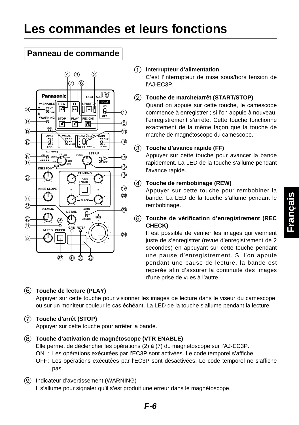#### **Panneau de commande**



#### 1 **Interrupteur d'alimentation**

C'est l'interrupteur de mise sous/hors tension de l'AJ-EC3P.

#### 2 **Touche de marche/arrêt (START/STOP)**

Quand on appuie sur cette touche, le camescope commence à enregistrer ; si l'on appuie à nouveau, l'enregistrement s'arrête. Cette touche fonctionne exactement de la même façon que la touche de marche de magnétoscope du camescope.

#### **Touche d'avance rapide (FF)** 3

Appuyer sur cette touche pour avancer la bande rapidement. La LED de la touche s'allume pendant l'avance rapide.

#### 4 **Touche de rembobinage (REW)**

Appuyer sur cette touche pour rembobiner la bande. La LED de la touche s'allume pendant le rembobinage.

#### **Touche de vérification d'enregistrement (REC** 5**CHECK)**

Il est possible de vérifier les images qui viennent juste de s'enregistrer (revue d'enregistrement de 2 secondes) en appuyant sur cette touche pendant une pause d'enregistrement. Si l'on appuie pendant une pause de lecture, la bande est repérée afin d'assurer la continuité des images d'une prise de vues à l'autre.

#### 6 **Touche de lecture (PLAY)**

Appuyer sur cette touche pour visionner les images de lecture dans le viseur du camescope, ou sur un moniteur couleur le cas échéant. La LED de la touche s'allume pendant la lecture.

#### 7 **Touche d'arrêt (STOP)**

Appuyer sur cette touche pour arrêter la bande.

#### **Touche d'activation de magnétoscope (VTR ENABLE)** 8

Elle permet de déclencher les opérations (2) à (7) du magnétoscope sur l'AJ-EC3P.

- ON : Les opérations exécutées par l'EC3P sont activées. Le code temporel s'affiche.
- OFF: Les opérations exécutées par l'EC3P sont désactivées. Le code temporel ne s'affiche pas.

#### 9 Indicateur d'avertissement (WARNING) Il s'allume pour signaler qu'il s'est produit une erreur dans le magnétoscope.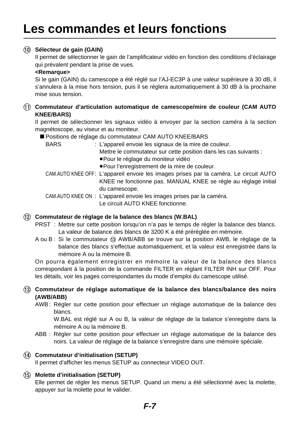#### : **Sélecteur de gain (GAIN)**

Il permet de sélectionner le gain de l'amplificateur vidéo en fonction des conditions d'éclairage qui prévalent pendant la prise de vues.

#### **<Remarque>**

Si le gain (GAIN) du camescope a été réglé sur l'AJ-EC3P à une valeur supérieure à 30 dB, il s'annulera à la mise hors tension, puis il se réglera automatiquement à 30 dB à la prochaine mise sous tension.

#### ; **Commutateur d'articulation automatique de camescope/mire de couleur (CAM AUTO KNEE/BARS)**

Il permet de sélectionner les signaux vidéo à envoyer par la section caméra à la section magnétoscope, au viseur et au moniteur.

#### ■ Positions de réglage du commutateur CAM AUTO KNEE/BARS

BARS : L'appareil envoie les signaux de la mire de couleur.

Mettre le commutateur sur cette position dans les cas suivants :

- Pour le réglage du moniteur vidéo
- ≥Pour l'enregistrement de la mire de couleur.
- CAM.AUTO KNEE OFF: L'appareil envoie les images prises par la caméra. Le circuit AUTO KNEE ne fonctionne pas. MANUAL KNEE se règle au réglage initial du camescope.

CAM.AUTO KNEE ON : L'appareil envoie les images prises par la caméra. Le circuit AUTO KNEE fonctionne.

#### **Commutateur de réglage de la balance des blancs (W.BAL)** <

- PRST : Mettre sur cette position lorsqu'on n'a pas le temps de régler la balance des blancs. La valeur de balance des blancs de 3200 K a été préréglée en mémoire.
- A ou B : Si le commutateur  $(3)$  AWB/ABB se trouve sur la position AWB, le réglage de la balance des blancs s'effectue automatiquement, et la valeur est enregistrée dans la mémoire A ou la mémoire B.

On pourra également enregistrer en mémoire la valeur de la balance des blancs correspondant à la position de la commande FILTER en réglant FILTER INH sur OFF. Pour les détails, voir les pages correspondantes du mode d'emploi du camescope utilisé.

#### **Commutateur de réglage automatique de la balance des blancs/balance des noirs** = **(AWB/ABB)**

AWB : Régler sur cette position pour effectuer un réglage automatique de la balance des blancs.

W.BAL est réglé sur A ou B, la valeur de réglage de la balance s'enregistre dans la mémoire A ou la mémoire B.

ABB : Régler sur cette position pour effectuer un réglage automatique de la balance des noirs. La valeur de réglage de la balance s'enregistre dans une mémoire spéciale.

#### > **Commutateur d'initialisation (SETUP)**

Il permet d'afficher les menus SETUP au connecteur VIDEO OUT.

#### ? **Molette d'initialisation (SETUP)**

Elle permet de régler les menus SETUP. Quand un menu a été sélectionné avec la molette, appuyer sur la molette pour le valider.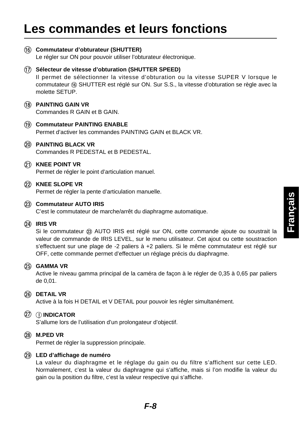### **Les commandes et leurs fonctions**

#### @ **Commutateur d'obturateur (SHUTTER)** Le régler sur ON pour pouvoir utiliser l'obturateur électronique. A **Sélecteur de vitesse d'obturation (SHUTTER SPEED)** Il permet de sélectionner la vitesse d'obturation ou la vitesse SUPER V lorsque le commutateur @ SHUTTER est réglé sur ON. Sur S.S., la vitesse d'obturation se règle avec la molette SETUP. C **Commutateur PAINTING ENABLE** Permet d'activer les commandes PAINTING GAIN et BLACK VR. B **PAINTING GAIN VR** Commandes R GAIN et B GAIN. **(27) (indicator** S'allume lors de l'utilisation d'un prolongateur d'objectif. **DETAIL VR** J Active à la fois H DETAIL et V DETAIL pour pouvoir les régler simultanément. H **IRIS VR** Si le commutateur @ AUTO IRIS est réglé sur ON, cette commande ajoute ou soustrait la valeur de commande de IRIS LEVEL, sur le menu utilisateur. Cet ajout ou cette soustraction s'effectuent sur une plage de -2 paliers à +2 paliers. Si le même commutateur est réglé sur OFF, cette commande permet d'effectuer un réglage précis du diaphragme. I **GAMMA VR** Active le niveau gamma principal de la caméra de façon à le régler de 0,35 à 0,65 par paliers de 0,01. G **Commutateur AUTO IRIS** C'est le commutateur de marche/arrêt du diaphragme automatique. 20 **PAINTING BLACK VR** Commandes R PEDESTAL et B PEDESTAL. 22 KNEE SLOPE VR Permet de régler la pente d'articulation manuelle. **21) KNEE POINT VR** Permet de régler le point d'articulation manuel.

#### L **M.PED VR**

Permet de régler la suppression principale.

#### M **LED d'affichage de numéro**

La valeur du diaphragme et le réglage du gain ou du filtre s'affichent sur cette LED. Normalement, c'est la valeur du diaphragme qui s'affiche, mais si l'on modifie la valeur du gain ou la position du filtre, c'est la valeur respective qui s'affiche.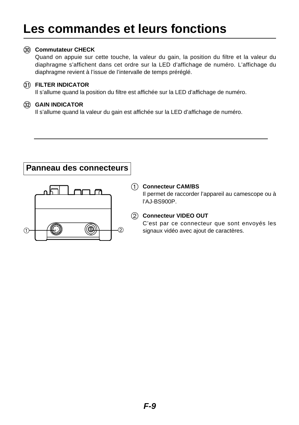### **Les commandes et leurs fonctions**

#### N **Commutateur CHECK**

Quand on appuie sur cette touche, la valeur du gain, la position du filtre et la valeur du diaphragme s'affichent dans cet ordre sur la LED d'affichage de numéro. L'affichage du diaphragme revient à l'issue de l'intervalle de temps préréglé.

#### O **FILTER INDICATOR**

Il s'allume quand la position du filtre est affichée sur la LED d'affichage de numéro.

#### **GAIN INDICATOR** P

Il s'allume quand la valeur du gain est affichée sur la LED d'affichage de numéro.

#### **Panneau des connecteurs**



#### 1 **Connecteur CAM/BS**

Il permet de raccorder l'appareil au camescope ou à l'AJ-BS900P.

#### 2 **Connecteur VIDEO OUT**

C'est par ce connecteur que sont envoyés les signaux vidéo avec ajout de caractères.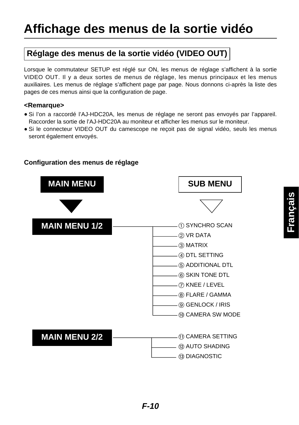#### **Réglage des menus de la sortie vidéo (VIDEO OUT)**

Lorsque le commutateur SETUP est réglé sur ON, les menus de réglage s'affichent à la sortie VIDEO OUT. Il y a deux sortes de menus de réglage, les menus principaux et les menus auxiliaires. Les menus de réglage s'affichent page par page. Nous donnons ci-après la liste des pages de ces menus ainsi que la configuration de page.

#### **<Remarque>**

- ≥ Si l'on a raccordé l'AJ-HDC20A, les menus de réglage ne seront pas envoyés par l'appareil. Raccorder la sortie de l'AJ-HDC20A au moniteur et afficher les menus sur le moniteur.
- ≥ Si le connecteur VIDEO OUT du camescope ne reçoit pas de signal vidéo, seuls les menus seront également envoyés.



#### **Configuration des menus de réglage**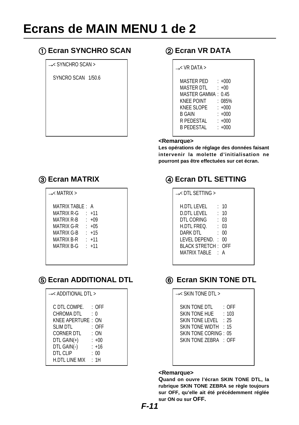#### 1 **Ecran SYNCHRO SCAN**

 $\rightarrow$ < SYNCHRO SCAN >

SYNCRO SCAN 1/50.6

#### 2 **Ecran VR DATA**

| $\rightarrow$ VR DATA $\rightarrow$                                                                                                   |                                                                       |
|---------------------------------------------------------------------------------------------------------------------------------------|-----------------------------------------------------------------------|
| <b>MASTER PED</b><br><b>MASTER DTL</b><br>MASTER GAMMA: 0.45<br>KNEE POINT<br>KNEE SLOPE<br>B GAIN<br>R PEDESTAL<br><b>B PEDESTAL</b> | : +000<br>$: +00$<br>: 085%<br>$: +000$<br>: +000<br>: +000<br>· +000 |

#### **<Remarque>**

**Les opérations de réglage des données faisant intervenir la molette d'initialisation ne pourront pas être effectuées sur cet écran.**

| $\rightarrow$ < <code>MATRIX</code> >                                                                                  |                                                        |
|------------------------------------------------------------------------------------------------------------------------|--------------------------------------------------------|
| MATRIX TABLE: A<br>MATRIX R-G<br>MATRIX R-B<br><b>MATRIX G-R</b><br><b>MATRIX G-B</b><br>۰<br>MATRIX B-R<br>MATRIX B-G | · +11<br>$+0.9$<br>$+0.5$<br>$+15$<br>$+11$<br>$. +11$ |
|                                                                                                                        |                                                        |

#### 5 **Ecran ADDITIONAL DTL** 6 **Ecran SKIN TONE DTL**

| $\rightarrow$ < ADDITIONAL DTL >                                                                                                                           |                                                                                      |
|------------------------------------------------------------------------------------------------------------------------------------------------------------|--------------------------------------------------------------------------------------|
| C DTL COMPE.<br>CHROMA DTL<br>KNEE APERTURE: ON<br><b>SLIM DTL</b><br><b>CORNER DTL</b><br>DTL GAIN(+)<br>DTL GAIN(-)<br>DTL CLIP<br><b>H.DTL LINE MIX</b> | $:$ OFF<br>$\colon 0$<br>$:$ OFF<br>∴ ON<br>$: +00$<br>$: +16$<br>: 00<br>$\cdot$ 1H |
|                                                                                                                                                            |                                                                                      |

### 3 **Ecran MATRIX 4 <b>Ecran DTL SETTING**

| $\rightarrow$ < DTL SETTING >                                                                                      |        |                                        |
|--------------------------------------------------------------------------------------------------------------------|--------|----------------------------------------|
| H DTI I FVFI<br>D.DTL LEVEL<br>DTL CORING<br>H.DTL FREQ.<br>DARK DTL<br>LEVEL DEPEND.<br><b>BLACK STRETCH: OFF</b> | $\sim$ | : 10<br>: 10<br>03<br>. 03<br>00<br>00 |
| MATRIX TARI F A                                                                                                    |        |                                        |
|                                                                                                                    |        |                                        |

| →< SKIN TONE DTL >                                                                                                                      |               |
|-----------------------------------------------------------------------------------------------------------------------------------------|---------------|
| SKIN TONE DTL<br><b>SKIN TONE HUE</b><br>SKIN TONE LEVEL : 25<br>SKIN TONE WIDTH $+15$<br>SKIN TONE CORING: 05<br>SKIN TONE ZEBRA : OFF | ∙ OFF<br>.103 |

#### **<Remarque>**

**Quand on ouvre l'écran SKIN TONE DTL, la rubrique SKIN TONE ZEBRA se règle toujours sur OFF, qu'elle ait été précédemment réglée sur ON ou sur OFF.**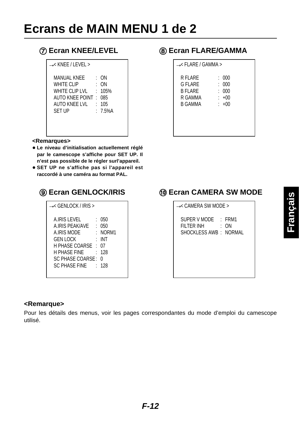

 $\rightarrow$ < KNEE / LEVEL > MANUAL KNEE : ON<br>WHITE CLIP : ON WHITE CLIP WHITE CLIP LVL : 105% AUTO KNEE POINT : 085 AUTO KNEE LVL : 105 SET UP : 7.5%A

- **<Remarques>**
- ≥ **Le niveau d'initialisation actuellement réglé par le camescope s'affiche pour SET UP. Il n'est pas possible de le régler surl'appareil.**
- ≥ **SET UP ne s'affiche pas si l'appareil est raccordé à une caméra au format PAL.**



#### 8 **Ecran FLARE/GAMMA**

| →< FLARE / GAMMA >                                                       |                                                  |
|--------------------------------------------------------------------------|--------------------------------------------------|
| R FLARE<br><b>G FLARE</b><br><b>B FLARE</b><br>R GAMMA<br><b>B GAMMA</b> | 000<br>000<br>۰<br>000<br>$+00$<br>t.<br>$: +00$ |

#### : **Ecran CAMERA SW MODE**

 $\rightarrow$ < CAMERA SW MODE  $\rightarrow$ 

SUPER V MODE : FRM1 FILTER INH SHOCKLESS AWB · NORMAL

#### **<Remarque>**

Pour les détails des menus, voir les pages correspondantes du mode d'emploi du camescope utilisé.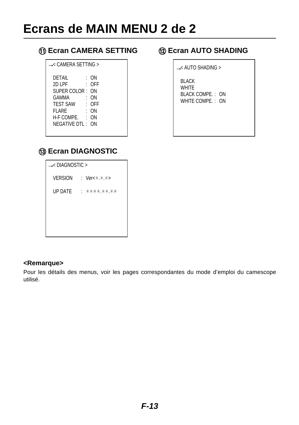### **Ecrans de MAIN MENU 2 de 2**

#### ; **Ecran CAMERA SETTING** < **Ecran AUTO SHADING**

| $\rightarrow$ < CAMERA SETTING >                                                                                |                                                              |
|-----------------------------------------------------------------------------------------------------------------|--------------------------------------------------------------|
| DETAIL<br>2D LPF<br>SUPER COLOR:<br>GAMMA<br><b>TEST SAW</b><br>FLARE<br>۰<br>H-F COMPE.<br>۰<br>NEGATIVE DTL : | ΟN<br><b>OFF</b><br>ΟN<br>ON<br><b>OFF</b><br>ON<br>ON<br>ΩN |
|                                                                                                                 |                                                              |

 $\rightarrow$ < AUTO SHADING >

BLACK WHITE BLACK COMPE. : ON WHITE COMPE. : ON

#### = **Ecran DIAGNOSTIC**

 $\rightarrow$ <DIAGNOSTIC >

VERSION : Ver< $\ast$ . $\ast$ . $\ast$ >

UP DATE : \*\*\*\*\*\*\*\*\*

#### **<Remarque>**

Pour les détails des menus, voir les pages correspondantes du mode d'emploi du camescope utilisé.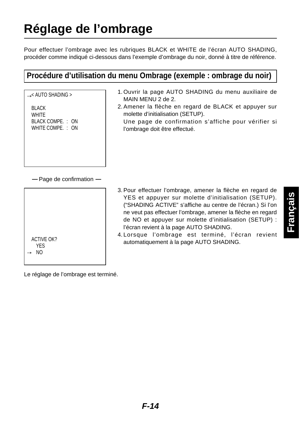# **Réglage de l'ombrage**

Pour effectuer l'ombrage avec les rubriques BLACK et WHITE de l'écran AUTO SHADING, procéder comme indiqué ci-dessous dans l'exemple d'ombrage du noir, donné à titre de référence.

#### **Procédure d'utilisation du menu Ombrage (exemple : ombrage du noir)**

 $\rightarrow$ < AUTO SHADING >

BLACK **WHITE** BLACK COMPE. : ON WHITE COMPE. : ON

- 1. Ouvrir la page AUTO SHADING du menu auxiliaire de MAIN MENU 2 de 2.
- 2. Amener la flèche en regard de BLACK et appuyer sur molette d'initialisation (SETUP).

Une page de confirmation s'affiche pour vérifier si l'ombrage doit être effectué.

 $-$  Page de confirmation  $-$ 

| <b>ACTIVE OK?</b><br><b>YES</b><br>NO |  |
|---------------------------------------|--|

Le réglage de l'ombrage est terminé.

- 3. Pour effectuer l'ombrage, amener la flèche en regard de YES et appuyer sur molette d'initialisation (SETUP). ("SHADING ACTIVE" s'affiche au centre de l'écran.) Si l'on ne veut pas effectuer l'ombrage, amener la flèche en regard de NO et appuyer sur molette d'initialisation (SETUP) : l'écran revient à la page AUTO SHADING.
- 4. Lorsque l'ombrage est terminé, l'écran revient automatiquement à la page AUTO SHADING.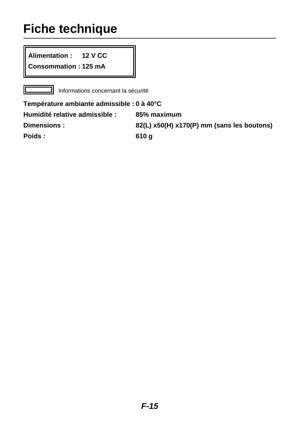# **Fiche technique**

### **Alimentation : 12 V CC**

**Consommation : 125 mA**

| Informations concernant la sécurité |
|-------------------------------------|
|                                     |

**Température ambiante admissible : 0 à 40°C Humidité relative admissible : 85% maximum Dimensions : 82(L) x50(H) x170(P) mm (sans les boutons) Poids : 610 g**